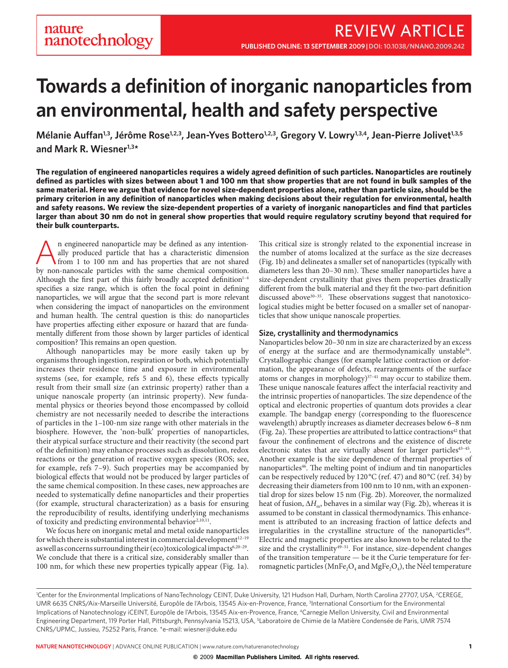# **Towards a definition of inorganic nanoparticles from an environmental, health and safety perspective**

Mélanie Auffan<sup>1,3</sup>, Jérôme Rose<sup>1,2,3</sup>, Jean-Yves Bottero<sup>1,2,3</sup>, Gregory V. Lowry<sup>1,3,4</sup>, Jean-Pierre Jolivet<sup>1,3,5</sup> **and Mark R. Wiesner1,3\***

**The regulation of engineered nanoparticles requires a widely agreed definition of such particles. Nanoparticles are routinely defined as particles with sizes between about 1 and 100 nm that show properties that are not found in bulk samples of the same material. Here we argue that evidence for novel size-dependent properties alone, rather than particle size, should be the primary criterion in any definition of nanoparticles when making decisions about their regulation for environmental, health and safety reasons. We review the size-dependent properties of a variety of inorganic nanoparticles and find that particles larger than about 30 nm do not in general show properties that would require regulatory scrutiny beyond that required for their bulk counterparts.**

An engineered nanoparticle may be defined as any intention-<br>from 1 to 100 nm and has properties that are not shared<br>by non-papercele particles with the came chamical composition ally produced particle that has a characteristic dimension by non-nanoscale particles with the same chemical composition. Although the first part of this fairly broadly accepted definition $1-4$ specifies a size range, which is often the focal point in defining nanoparticles, we will argue that the second part is more relevant when considering the impact of nanoparticles on the environment and human health. The central question is this: do nanoparticles have properties affecting either exposure or hazard that are fundamentally different from those shown by larger particles of identical composition? This remains an open question.

Although nanoparticles may be more easily taken up by organisms through ingestion, respiration or both, which potentially increases their residence time and exposure in environmental systems (see, for example, refs  $5$  and  $6$ ), these effects typically result from their small size (an extrinsic property) rather than a unique nanoscale property (an intrinsic property). New fundamental physics or theories beyond those encompassed by colloid chemistry are not necessarily needed to describe the interactions of particles in the 1–100-nm size range with other materials in the biosphere. However, the 'non-bulk' properties of nanoparticles, their atypical surface structure and their reactivity (the second part of the definition) may enhance processes such as dissolution, redox reactions or the generation of reactive oxygen species (ROS; see, for example, refs 7–9). Such properties may be accompanied by biological effects that would not be produced by larger particles of the same chemical composition. In these cases, new approaches are needed to systematically define nanoparticles and their properties (for example, structural characterization) as a basis for ensuring the reproducibility of results, identifying underlying mechanisms of toxicity and predicting environmental behavior<sup>2,10,11</sup>.

We focus here on inorganic metal and metal oxide nanoparticles for which there is substantial interest in commercial development<sup>12-19</sup> as well as concerns surrounding their (eco)toxicological impacts<sup>6,20-29</sup>. We conclude that there is a critical size, considerably smaller than 100 nm, for which these new properties typically appear (Fig. 1a).

This critical size is strongly related to the exponential increase in the number of atoms localized at the surface as the size decreases (Fig. 1b) and delineates a smaller set of nanoparticles (typically with diameters less than 20-30 nm). These smaller nanoparticles have a size-dependent crystallinity that gives them properties drastically different from the bulk material and they fit the two-part definition discussed above<sup>30-35</sup>. These observations suggest that nanotoxicological studies might be better focused on a smaller set of nanoparticles that show unique nanoscale properties.

### **Size, crystallinity and thermodynamics**

Nanoparticles below 20–30 nm in size are characterized by an excess of energy at the surface and are thermodynamically unstable<sup>36</sup>. Crystallographic changes (for example lattice contraction or deformation, the appearance of defects, rearrangements of the surface atoms or changes in morphology) $37-41$  may occur to stabilize them. These unique nanoscale features affect the interfacial reactivity and the intrinsic properties of nanoparticles. The size dependence of the optical and electronic properties of quantum dots provides a clear example. The bandgap energy (corresponding to the fluorescence wavelength) abruptly increases as diameter decreases below 6–8 nm (Fig. 2a). These properties are attributed to lattice contractions<sup>42</sup> that favour the confinement of electrons and the existence of discrete electronic states that are virtually absent for larger particles<sup>43-45</sup>. Another example is the size dependence of thermal properties of nanoparticles<sup>46</sup>. The melting point of indium and tin nanoparticles can be respectively reduced by 120°C (ref. 47) and 80 °C (ref. 34) by decreasing their diameters from 100 nm to 10 nm, with an exponential drop for sizes below 15 nm (Fig. 2b). Moreover, the normalized heat of fusion,  $\Delta H_m$ , behaves in a similar way (Fig. 2b), whereas it is assumed to be constant in classical thermodynamics. This enhancement is attributed to an increasing fraction of lattice defects and irregularities in the crystalline structure of the nanoparticles<sup>48</sup>. Electric and magnetic properties are also known to be related to the size and the crystallinity $49-51$ . For instance, size-dependent changes of the transition temperature — be it the Curie temperature for ferromagnetic particles (MnFe<sub>2</sub>O<sub>4</sub> and MgFe<sub>2</sub>O<sub>4</sub>), the Néel temperature

<sup>&#</sup>x27;Center for the Environmental Implications of NanoTechnology CEINT, Duke University, 121 Hudson Hall, Durham, North Carolina 27707, USA, <sup>2</sup>CEREGE, UMR 6635 CNRS/Aix-Marseille Université, Europôle de l'Arbois, 13545 Aix-en-Provence, France, <sup>3</sup>International Consortium for the Environmental Implications of Nanotechnology iCEINT, Europôle de l'Arbois, 13545 Aix-en-Provence, France, 4Carnegie Mellon University, Civil and Environmental Engineering Department, 119 Porter Hall, Pittsburgh, Pennsylvania 15213, USA, <sup>5</sup>Laboratoire de Chimie de la Matière Condensée de Paris, UMR 7574 CNRS/UPMC, Jussieu, 75252 Paris, France. \*e-mail: [wiesner@duke.edu](mailto:wiesner@duke.edu)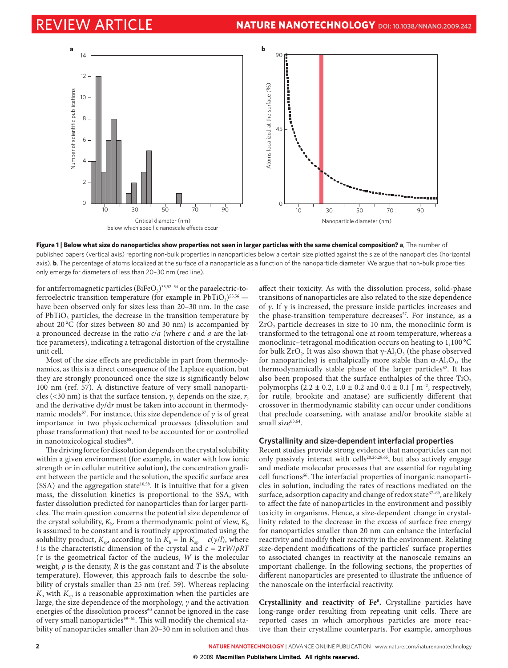

**Figure 1 | Below what size do nanoparticles show properties not seen in larger particles with the same chemical composition? a**, The number of published papers (vertical axis) reporting non-bulk properties in nanoparticles below a certain size plotted against the size of the nanoparticles (horizontal axis). **b**, The percentage of atoms localized at the surface of a nanoparticle as a function of the nanoparticle diameter. We argue that non-bulk properties only emerge for diameters of less than 20–30 nm (red line).

for antiferromagnetic particles ( $BiFeO<sub>3</sub>$ )<sup>35,52-54</sup> or the paraelectric-toferroelectric transition temperature (for example in  $PbTiO<sub>3</sub>$ )<sup>55,56</sup> have been observed only for sizes less than 20–30 nm. In the case of  $PbTiO<sub>3</sub>$  particles, the decrease in the transition temperature by about 20 °C (for sizes between 80 and 30 nm) is accompanied by a pronounced decrease in the ratio  $c/a$  (where c and a are the lattice parameters), indicating a tetragonal distortion of the crystalline unit cell.

Most of the size effects are predictable in part from thermodynamics, as this is a direct consequence of the Laplace equation, but they are strongly pronounced once the size is significantly below 100 nm (ref. 57). A distinctive feature of very small nanoparticles (<30 nm) is that the surface tension,  $\nu$ , depends on the size, r, and the derivative  $\frac{dy}{dr}$  must be taken into account in thermodynamic models<sup>57</sup>. For instance, this size dependence of  $\gamma$  is of great importance in two physicochemical processes (dissolution and phase transformation) that need to be accounted for or controlled in nanotoxicological studies<sup>58</sup>.

The driving force for dissolution depends on the crystal solubility within a given environment (for example, in water with low ionic strength or in cellular nutritive solution), the concentration gradient between the particle and the solution, the specific surface area  $(SSA)$  and the aggregation state<sup>10,58</sup>. It is intuitive that for a given mass, the dissolution kinetics is proportional to the SSA, with faster dissolution predicted for nanoparticles than for larger particles. The main question concerns the potential size dependence of the crystal solubility,  $K_{\rm b}$ . From a thermodynamic point of view,  $K_{\rm b}$ is assumed to be constant and is routinely approximated using the solubility product,  $K_{\rm so}$ , according to ln  $K_{\rm b} = \ln K_{\rm so} + c(y/l)$ , where l is the characteristic dimension of the crystal and  $c = 2\tau W/\rho RT$ ( $\tau$  is the geometrical factor of the nucleus,  $W$  is the molecular weight,  $\rho$  is the density, R is the gas constant and T is the absolute temperature). However, this approach fails to describe the solubility of crystals smaller than 25 nm (ref. 59). Whereas replacing  $K<sub>b</sub>$  with  $K<sub>sp</sub>$  is a reasonable approximation when the particles are large, the size dependence of the morphology,  $\gamma$  and the activation energies of the dissolution process<sup>60</sup> cannot be ignored in the case of very small nanoparticles<sup>59-61</sup>. This will modify the chemical stability of nanoparticles smaller than 20–30 nm in solution and thus

affect their toxicity. As with the dissolution process, solid-phase transitions of nanoparticles are also related to the size dependence of γ. If γ is increased, the pressure inside particles increases and the phase-transition temperature decreases<sup>57</sup>. For instance, as a ZrO<sub>2</sub> particle decreases in size to 10 nm, the monoclinic form is transformed to the tetragonal one at room temperature, whereas a monoclinic-tetragonal modification occurs on heating to 1,100 °C for bulk ZrO<sub>2</sub>. It was also shown that  $\gamma$ -Al<sub>2</sub>O<sub>3</sub> (the phase observed for nanoparticles) is enthalpically more stable than  $\alpha$ -Al<sub>2</sub>O<sub>3</sub>, the thermodynamically stable phase of the larger particles<sup>62</sup>. It has also been proposed that the surface enthalpies of the three TiO<sub>2</sub> polymorphs (2.2  $\pm$  0.2, 1.0  $\pm$  0.2 and 0.4  $\pm$  0.1 J m<sup>-2</sup>, respectively, for rutile, brookite and anatase) are sufficiently different that crossover in thermodynamic stability can occur under conditions that preclude coarsening, with anatase and/or brookite stable at small size<sup>63,64</sup>.

# **Crystallinity and size-dependent interfacial properties**

Recent studies provide strong evidence that nanoparticles can not only passively interact with cells<sup>20,26,28,65</sup>, but also actively engage and mediate molecular processes that are essential for regulating cell functions<sup>66</sup>. The interfacial properties of inorganic nanoparticles in solution, including the rates of reactions mediated on the surface, adsorption capacity and change of redox state<sup>67-69</sup>, are likely to affect the fate of nanoparticles in the environment and possibly toxicity in organisms. Hence, a size-dependent change in crystallinity related to the decrease in the excess of surface free energy for nanoparticles smaller than 20 nm can enhance the interfacial reactivity and modify their reactivity in the environment. Relating size-dependent modifications of the particles' surface properties to associated changes in reactivity at the nanoscale remains an important challenge. In the following sections, the properties of different nanoparticles are presented to illustrate the influence of the nanoscale on the interfacial reactivity.

Crystallinity and reactivity of Fe<sup>0</sup>. Crystalline particles have long-range order resulting from repeating unit cells. There are reported cases in which amorphous particles are more reactive than their crystalline counterparts. For example, amorphous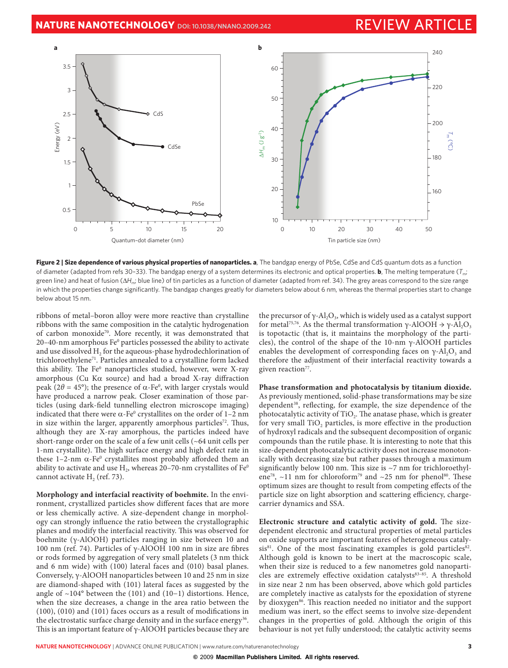

**Figure 2 | Size dependence of various physical properties of nanoparticles. a**, The bandgap energy of PbSe, CdSe and CdS quantum dots as a function of diameter (adapted from refs 30–33). The bandgap energy of a system determines its electronic and optical properties. **b**, The melting temperature (*T*m; green line) and heat of fusion ( $\Delta H_m$ ; blue line) of tin particles as a function of diameter (adapted from ref. 34). The grey areas correspond to the size range in which the properties change significantly. The bandgap changes greatly for diameters below about 6 nm, whereas the thermal properties start to change below about 15 nm.

ribbons of metal–boron alloy were more reactive than crystalline ribbons with the same composition in the catalytic hydrogenation of carbon monoxide<sup>70</sup>. More recently, it was demonstrated that 20–40-nm amorphous  $Fe<sup>0</sup>$  particles possessed the ability to activate and use dissolved H<sub>2</sub> for the aqueous-phase hydrodechlorination of trichloroethylene71. Particles annealed to a crystalline form lacked this ability. The Fe<sup>0</sup> nanoparticles studied, however, were X-ray amorphous (Cu K $\alpha$  source) and had a broad X-ray diffraction peak (2θ = 45°); the presence of  $\alpha$ -Fe<sup>0</sup>, with larger crystals would have produced a narrow peak. Closer examination of those particles (using dark-field tunnelling electron microscope imaging) indicated that there were  $\alpha$ -Fe<sup>0</sup> crystallites on the order of 1–2 nm in size within the larger, apparently amorphous particles<sup>72</sup>. Thus, although they are X-ray amorphous, the particles indeed have short-range order on the scale of a few unit cells (~64 unit cells per 1-nm crystallite). The high surface energy and high defect rate in these  $1-2$ -nm  $\alpha$ -Fe<sup>o</sup> crystallites most probably afforded them an ability to activate and use  $H_2$ , whereas 20–70-nm crystallites of Fe<sup>0</sup> cannot activate  $H<sub>2</sub>$  (ref. 73).

**Morphology and interfacial reactivity of boehmite.** In the environment, crystallized particles show different faces that are more or less chemically active. A size-dependent change in morphology can strongly influence the ratio between the crystallographic planes and modify the interfacial reactivity. This was observed for boehmite (γ-AlOOH) particles ranging in size between 10 and 100 nm (ref. 74). Particles of  $γ$ -AlOOH 100 nm in size are fibres or rods formed by aggregation of very small platelets (3 nm thick and 6 nm wide) with (100) lateral faces and (010) basal planes. Conversely, γ-AlOOH nanoparticles between 10 and 25 nm in size are diamond-shaped with (101) lateral faces as suggested by the angle of ~104° between the (101) and (10−1) distortions. Hence, when the size decreases, a change in the area ratio between the  $(100)$ ,  $(010)$  and  $(101)$  faces occurs as a result of modifications in the electrostatic surface charge density and in the surface energy<sup>36</sup>. This is an important feature of  $\gamma$ -AlOOH particles because they are the precursor of  $\gamma$ -Al<sub>2</sub>O<sub>3</sub>, which is widely used as a catalyst support for metal<sup>75,76</sup>. As the thermal transformation γ-AlOOH  $\rightarrow$  γ-Al<sub>2</sub>O<sub>3</sub> is topotactic (that is, it maintains the morphology of the particles), the control of the shape of the 10-nm γ-AlOOH particles enables the development of corresponding faces on  $\gamma$ -Al<sub>2</sub>O<sub>3</sub> and therefore the adjustment of their interfacial reactivity towards a given reaction<sup>77</sup>.

**Phase transformation and photocatalysis by titanium dioxide.** As previously mentioned, solid-phase transformations may be size dependent<sup>38</sup>, reflecting, for example, the size dependence of the photocatalytic activity of TiO<sub>2</sub>. The anatase phase, which is greater for very small TiO<sub>2</sub> particles, is more effective in the production of hydroxyl radicals and the subsequent decomposition of organic compounds than the rutile phase. It is interesting to note that this size-dependent photocatalytic activity does not increase monotonically with decreasing size but rather passes through a maximum significantly below 100 nm. This size is  $\sim$ 7 nm for trichloroethylene<sup>78</sup>, ~11 nm for chloroform<sup>79</sup> and ~25 nm for phenol<sup>80</sup>. These optimum sizes are thought to result from competing effects of the particle size on light absorption and scattering efficiency, chargecarrier dynamics and SSA.

**Electronic structure and catalytic activity of gold.** The sizedependent electronic and structural properties of metal particles on oxide supports are important features of heterogeneous catalysis $81$ . One of the most fascinating examples is gold particles $82$ . Although gold is known to be inert at the macroscopic scale, when their size is reduced to a few nanometres gold nanoparticles are extremely effective oxidation catalysts<sup>83-85</sup>. A threshold in size near 2 nm has been observed, above which gold particles are completely inactive as catalysts for the epoxidation of styrene by dioxygen<sup>86</sup>. This reaction needed no initiator and the support medium was inert, so the effect seems to involve size-dependent changes in the properties of gold. Although the origin of this behaviour is not yet fully understood; the catalytic activity seems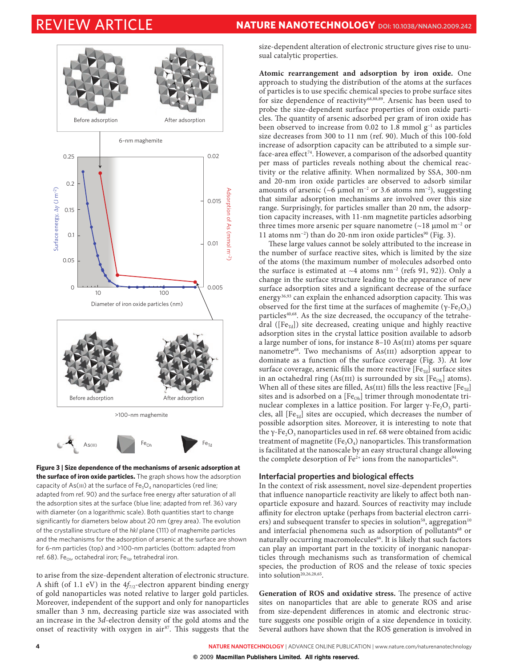

**Figure 3 | Size dependence of the mechanisms of arsenic adsorption at the surface of iron oxide particles.** The graph shows how the adsorption capacity of As(III) at the surface of  $Fe<sub>3</sub>O<sub>4</sub>$  nanoparticles (red line; adapted from ref. 90) and the surface free energy after saturation of all the adsorption sites at the surface (blue line; adapted from ref. 36) vary with diameter (on a logarithmic scale). Both quantities start to change significantly for diameters below about 20 nm (grey area). The evolution of the crystalline structure of the *hkl* plane (111) of maghemite particles and the mechanisms for the adsorption of arsenic at the surface are shown for 6-nm particles (top) and >100-nm particles (bottom: adapted from ref. 68). Fe<sub>Oh</sub>, octahedral iron; Fe<sub>Td</sub>, tetrahedral iron.

to arise from the size-dependent alteration of electronic structure. A shift (of 1.1 eV) in the  $4f_{7/2}$ -electron apparent binding energy of gold nanoparticles was noted relative to larger gold particles. Moreover, independent of the support and only for nanoparticles smaller than 3 nm, decreasing particle size was associated with an increase in the 3d-electron density of the gold atoms and the onset of reactivity with oxygen in air<sup>87</sup>. This suggests that the

size-dependent alteration of electronic structure gives rise to unusual catalytic properties.

**Atomic rearrangement and adsorption by iron oxide.** One approach to studying the distribution of the atoms at the surfaces of particles is to use specific chemical species to probe surface sites for size dependence of reactivity<sup>68,88,89</sup>. Arsenic has been used to probe the size-dependent surface properties of iron oxide particles. The quantity of arsenic adsorbed per gram of iron oxide has been observed to increase from 0.02 to 1.8 mmol g<sup>−1</sup> as particles size decreases from 300 to 11 nm (ref. 90). Much of this 100-fold increase of adsorption capacity can be attributed to a simple surface-area effect<sup>74</sup>. However, a comparison of the adsorbed quantity per mass of particles reveals nothing about the chemical reactivity or the relative affinity. When normalized by SSA, 300-nm and 20-nm iron oxide particles are observed to adsorb similar amounts of arsenic (~6  $\mu$ mol m<sup>-2</sup> or 3.6 atoms nm<sup>-2</sup>), suggesting that similar adsorption mechanisms are involved over this size range. Surprisingly, for particles smaller than 20 nm, the adsorption capacity increases, with 11-nm magnetite particles adsorbing three times more arsenic per square nanometre  $($ ~18 µmol m<sup>-2</sup> or 11 atoms nm<sup>-2</sup>) than do 20-nm iron oxide particles<sup>90</sup> (Fig. 3).

These large values cannot be solely attributed to the increase in the number of surface reactive sites, which is limited by the size of the atoms (the maximum number of molecules adsorbed onto the surface is estimated at ~4 atoms nm−2 (refs 91, 92)). Only a change in the surface structure leading to the appearance of new surface adsorption sites and a significant decrease of the surface energy<sup>36,93</sup> can explain the enhanced adsorption capacity. This was observed for the first time at the surfaces of maghemite (γ-Fe, $O_3$ ) particles<sup>40,68</sup>. As the size decreased, the occupancy of the tetrahedral ( $[Fe_{Td}]$ ) site decreased, creating unique and highly reactive adsorption sites in the crystal lattice position available to adsorb a large number of ions, for instance 8-10 As(III) atoms per square nanometre $68$ . Two mechanisms of As(III) adsorption appear to dominate as a function of the surface coverage (Fig. 3). At low surface coverage, arsenic fills the more reactive  $[Fe_{Td}]$  surface sites in an octahedral ring (As(III) is surrounded by six  $[Fe<sub>Oh</sub>]$  atoms). When all of these sites are filled, As(III) fills the less reactive  $[Fe_{Td}]$ sites and is adsorbed on a  $[Fe<sub>Oh</sub>]$  trimer through monodentate trinuclear complexes in a lattice position. For larger  $γ$ -Fe<sub>2</sub>O<sub>3</sub> particles, all  $[Fe_{Td}]$  sites are occupied, which decreases the number of possible adsorption sites. Moreover, it is interesting to note that the γ-Fe<sub>2</sub>O<sub>3</sub> nanoparticles used in ref. 68 were obtained from acidic treatment of magnetite (Fe<sub>3</sub>O<sub>4</sub>) nanoparticles. This transformation is facilitated at the nanoscale by an easy structural change allowing the complete desorption of  $Fe^{2+}$  ions from the nanoparticles<sup>94</sup>.

# **Interfacial properties and biological effects**

In the context of risk assessment, novel size-dependent properties that influence nanoparticle reactivity are likely to affect both nanoparticle exposure and hazard. Sources of reactivity may include affinity for electron uptake (perhaps from bacterial electron carriers) and subsequent transfer to species in solution<sup>58</sup>, aggregation<sup>10</sup> and interfacial phenomena such as adsorption of pollutants<sup>68</sup> or naturally occurring macromolecules<sup>66</sup>. It is likely that such factors can play an important part in the toxicity of inorganic nanoparticles through mechanisms such as transformation of chemical species, the production of ROS and the release of toxic species into solution $20,26,28,65$ .

Generation of ROS and oxidative stress. The presence of active sites on nanoparticles that are able to generate ROS and arise from size-dependent differences in atomic and electronic structure suggests one possible origin of a size dependence in toxicity. Several authors have shown that the ROS generation is involved in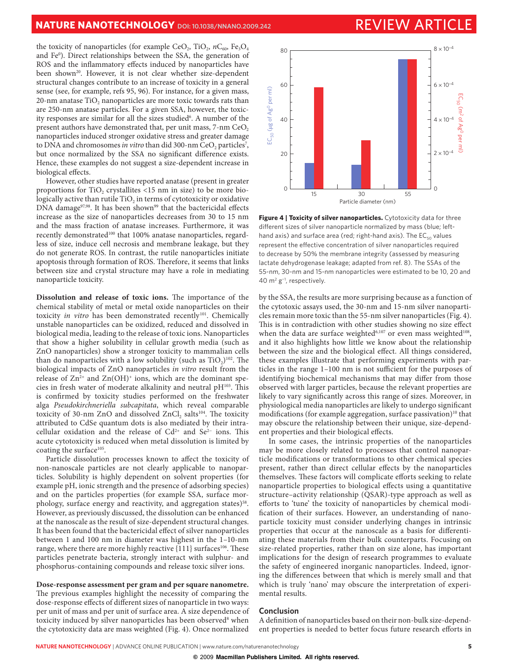the toxicity of nanoparticles (for example CeO<sub>2</sub>, TiO<sub>2</sub>,  $nC_{60}$ , Fe<sub>3</sub>O<sub>4</sub> and Feº). Direct relationships between the SSA, the generation of ROS and the inflammatory effects induced by nanoparticles have been shown<sup>20</sup>. However, it is not clear whether size-dependent structural changes contribute to an increase of toxicity in a general sense (see, for example, refs 95, 96). For instance, for a given mass, 20-nm anatase  $TiO<sub>2</sub>$  nanoparticles are more toxic towards rats than are 250-nm anatase particles. For a given SSA, however, the toxicity responses are similar for all the sizes studied<sup>6</sup>. A number of the present authors have demonstrated that, per unit mass,  $7\text{-nm CeO}_2$ nanoparticles induced stronger oxidative stress and greater damage to DNA and chromosomes *in vitro* than did 300-nm CeO<sub>2</sub> particles<sup>7</sup>, but once normalized by the SSA no significant difference exists. Hence, these examples do not suggest a size-dependent increase in biological effects.

However, other studies have reported anatase (present in greater proportions for  $TiO<sub>2</sub>$  crystallites <15 nm in size) to be more biologically active than rutile  $TiO<sub>2</sub>$  in terms of cytotoxicity or oxidative DNA damage $97,98$ . It has been shown<sup>99</sup> that the bactericidal effects increase as the size of nanoparticles decreases from 30 to 15 nm and the mass fraction of anatase increases. Furthermore, it was recently demonstrated<sup>100</sup> that 100% anatase nanoparticles, regardless of size, induce cell necrosis and membrane leakage, but they do not generate ROS. In contrast, the rutile nanoparticles initiate apoptosis through formation of ROS. Therefore, it seems that links between size and crystal structure may have a role in mediating nanoparticle toxicity.

**Dissolution and release of toxic ions.** The importance of the chemical stability of metal or metal oxide nanoparticles on their toxicity in vitro has been demonstrated recently<sup>101</sup>. Chemically unstable nanoparticles can be oxidized, reduced and dissolved in biological media, leading to the release of toxic ions. Nanoparticles that show a higher solubility in cellular growth media (such as ZnO nanoparticles) show a stronger toxicity to mammalian cells than do nanoparticles with a low solubility (such as  $TiO<sub>2</sub>$ )<sup>102</sup>. The biological impacts of ZnO nanoparticles in vitro result from the release of  $\text{Zn}^{2+}$  and  $\text{Zn}(\text{OH})^+$  ions, which are the dominant species in fresh water of moderate alkalinity and neutral  $pH^{103}$ . This is confirmed by toxicity studies performed on the freshwater alga Pseudokirchneriella subcapitata, which reveal comparable toxicity of 30-nm ZnO and dissolved ZnCl<sub>2</sub> salts<sup>104</sup>. The toxicity attributed to CdSe quantum dots is also mediated by their intracellular oxidation and the release of Cd<sup>2+</sup> and Se<sup>2−</sup> ions. This acute cytotoxicity is reduced when metal dissolution is limited by coating the surface<sup>105</sup>.

Particle dissolution processes known to affect the toxicity of non-nanoscale particles are not clearly applicable to nanoparticles. Solubility is highly dependent on solvent properties (for example pH, ionic strength and the presence of adsorbing species) and on the particles properties (for example SSA, surface morphology, surface energy and reactivity, and aggregation states)<sup>58</sup>. However, as previously discussed, the dissolution can be enhanced at the nanoscale as the result of size-dependent structural changes. It has been found that the bactericidal effect of silver nanoparticles between 1 and 100 nm in diameter was highest in the 1–10-nm range, where there are more highly reactive  $\{111\}$  surfaces<sup>106</sup>. These particles penetrate bacteria, strongly interact with sulphur- and phosphorus-containing compounds and release toxic silver ions.

**Dose-response assessment per gram and per square nanometre.** The previous examples highlight the necessity of comparing the dose-response effects of different sizes of nanoparticle in two ways: per unit of mass and per unit of surface area. A size dependence of toxicity induced by silver nanoparticles has been observed<sup>8</sup> when the cytotoxicity data are mass weighted (Fig. 4). Once normalized



**Figure 4 | Toxicity of silver nanoparticles.** Cytotoxicity data for three different sizes of silver nanoparticle normalized by mass (blue; lefthand axis) and surface area (red; right-hand axis). The  $EC_{50}$  values represent the effective concentration of silver nanoparticles required to decrease by 50% the membrane integrity (assessed by measuring lactate dehydrogenase leakage; adapted from ref. 8). The SSAs of the 55-nm, 30-nm and 15-nm nanoparticles were estimated to be 10, 20 and 40 m2 g−1 , respectively.

by the SSA, the results are more surprising because as a function of the cytotoxic assays used, the 30-nm and 15-nm silver nanoparticles remain more toxic than the 55-nm silver nanoparticles (Fig. 4). This is in contradiction with other studies showing no size effect when the data are surface weighted<sup>6,107</sup> or even mass weighted<sup>108</sup>, and it also highlights how little we know about the relationship between the size and the biological effect. All things considered, these examples illustrate that performing experiments with particles in the range  $1-100$  nm is not sufficient for the purposes of identifying biochemical mechanisms that may differ from those observed with larger particles, because the relevant properties are likely to vary significantly across this range of sizes. Moreover, in physiological media nanoparticles are likely to undergo significant modifications (for example aggregation, surface passivation)<sup>10</sup> that may obscure the relationship between their unique, size-dependent properties and their biological effects.

In some cases, the intrinsic properties of the nanoparticles may be more closely related to processes that control nanoparticle modifications or transformations to other chemical species present, rather than direct cellular effects by the nanoparticles themselves. These factors will complicate efforts seeking to relate nanoparticle properties to biological effects using a quantitative structure–activity relationship (QSAR)-type approach as well as efforts to 'tune' the toxicity of nanoparticles by chemical modification of their surfaces. However, an understanding of nanoparticle toxicity must consider underlying changes in intrinsic properties that occur at the nanoscale as a basis for differentiating these materials from their bulk counterparts. Focusing on size-related properties, rather than on size alone, has important implications for the design of research programmes to evaluate the safety of engineered inorganic nanoparticles. Indeed, ignoring the differences between that which is merely small and that which is truly 'nano' may obscure the interpretation of experimental results.

# **Conclusion**

A definition of nanoparticles based on their non-bulk size-dependent properties is needed to better focus future research efforts in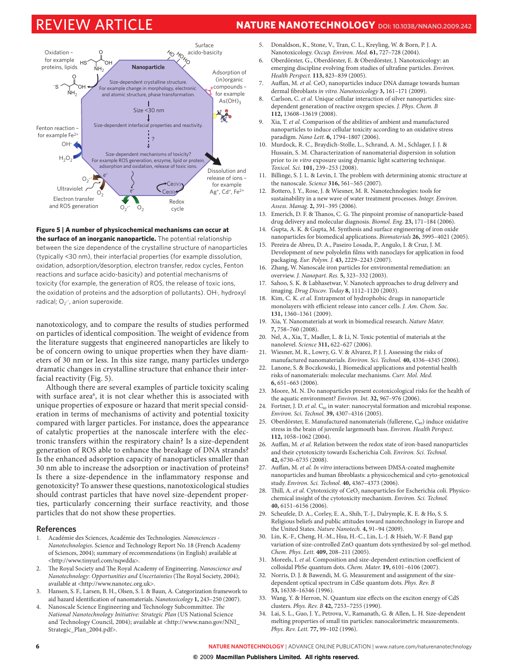# REVIEW ARTICLE **NATURE NANOTECHNOLOGY DOI: [10.1038/NNANO.2009.242](file://localhost/Users/auffan/Downloads/www.nature.com/doifinder/10.1038/nnano.2009.242)**



**Figure 5 | A number of physicochemical mechanisms can occur at the surface of an inorganic nanoparticle.** The potential relationship between the size dependence of the crystalline structure of nanoparticles (typically <30 nm), their interfacial properties (for example dissolution, oxidation, adsorption/desorption, electron transfer, redox cycles, Fenton reactions and surface acido-basicity) and potential mechanisms of toxicity (for example, the generation of ROS, the release of toxic ions, the oxidation of proteins and the adsorption of pollutants). OH·, hydroxyl radical;  $O_2$  , anion superoxide.

nanotoxicology, and to compare the results of studies performed on particles of identical composition. The weight of evidence from the literature suggests that engineered nanoparticles are likely to be of concern owing to unique properties when they have diameters of 30 nm or less. In this size range, many particles undergo dramatic changes in crystalline structure that enhance their interfacial reactivity (Fig. 5).

Although there are several examples of particle toxicity scaling with surface area<sup>6</sup>, it is not clear whether this is associated with unique properties of exposure or hazard that merit special consideration in terms of mechanisms of activity and potential toxicity compared with larger particles. For instance, does the appearance of catalytic properties at the nanoscale interfere with the electronic transfers within the respiratory chain? Is a size-dependent generation of ROS able to enhance the breakage of DNA strands? Is the enhanced adsorption capacity of nanoparticles smaller than 30 nm able to increase the adsorption or inactivation of proteins? Is there a size-dependence in the inflammatory response and genotoxicity? To answer these questions, nanotoxicological studies should contrast particles that have novel size-dependent properties, particularly concerning their surface reactivity, and those particles that do not show these properties.

### **References**

- 1. Académie des Sciences, Académie des Technologies. Nanosciences Nanotechnologies. Science and Technology Report No. 18 (French Academy of Sciences, 2004); summary of recommendations (in English) available at <http://www.tinyurl.com/nqwdda>.
- 2. The Royal Society and The Royal Academy of Engineering. Nanoscience and Nanotechnology: Opportunities and Uncertainties (The Royal Society, 2004); available at <<http://www.nanotec.org.uk>>.
- 3. Hansen, S. F., Larsen, B. H., Olsen, S. I. & Baun, A. Categorization framework to aid hazard identification of nanomaterials. Nanotoxicology 1, 243-250 (2007).
- 4. Nanoscale Science Engineering and Technology Subcommittee. The National Nanotechnology Initiative: Strategic Plan (US National Science and Technology Council, 2004); available at <[http://www.nano.gov/NNI\\_](http://www.nano.gov/NNI_Strategic_Plan_2004.pdf) [Strategic\\_Plan\\_2004.pdf](http://www.nano.gov/NNI_Strategic_Plan_2004.pdf)>.
- 5. Donaldson, K., Stone, V., Tran, C. L., Kreyling, W. & Born, P. J. A. Nanotoxicology. Occup. Environ. Med. **61,** 727–728 (2004).
- 6. Oberdörster, G., Oberdörster, E. & Oberdörster, J. Nanotoxicology: an emerging discipline evolving from studies of ultrafine particles. Environ. Health Perspect. **113,** 823–839 (2005).
- Auffan, M. et al. CeO<sub>2</sub> nanoparticles induce DNA damage towards human dermal fibroblasts in vitro. Nanotoxicology 3, 161-171 (2009).
- 8. Carlson, C. et al. Unique cellular interaction of silver nanoparticles: sizedependent generation of reactive oxygen species. J. Phys. Chem. B **112,** 13608–13619 (2008).
- 9. Xia, T. et al. Comparison of the abilities of ambient and manufactured nanoparticles to induce cellular toxicity according to an oxidative stress paradigm. Nano Lett. **6,** 1794–1807 (2006).
- 10. Murdock, R. C., Braydich-Stolle, L., Schrand, A. M., Schlager, J. J. & Hussain, S. M. Characterization of nanomaterial dispersion in solution prior to in vitro exposure using dynamic light scattering technique. Toxicol. Sci. **101,** 239–253 (2008).
- 11. Billinge, S. J. L. & Levin, I. The problem with determining atomic structure at the nanoscale. Science **316,** 561–565 (2007).
- 12. Bottero, J. Y., Rose, J. & Wiesner, M. R. Nanotechnologies: tools for sustainability in a new wave of water treatment processes. Integr. Environ. Assess. Manag. **2,** 391–395 (2006).
- 13. Emerich, D. F. & Thanos, C. G. The pinpoint promise of nanoparticle-based drug delivery and molecular diagnosis. Biomol. Eng. **23,** 171–184 (2006).
- 14. Gupta, A. K. & Gupta, M. Synthesis and surface engineering of iron oxide nanoparticles for biomedical applications. Biomaterials **26,** 3995–4021 (2005).
- 15. Pereira de Abreu, D. A., Paseiro Losada, P., Angulo, I. & Cruz, J. M. Development of new polyolefin films with nanoclays for application in food packaging. Eur. Polym. J. **43,** 2229–2243 (2007).
- 16. Zhang, W. Nanoscale iron particles for environmental remediation: an overview. J. Nanopart. Res. **5,** 323–332 (2003).
- 17. Sahoo, S. K. & Labhasetwar, V. Nanotech approaches to drug delivery and imaging. Drug Discov. Today **8,** 1112–1120 (2003).
- 18. Kim, C. K. et al. Entrapment of hydrophobic drugs in nanoparticle monolayers with efficient release into cancer cells. J. Am. Chem. Soc. **131,** 1360–1361 (2009).
- 19. Xia, Y. Nanomaterials at work in biomedical research. Nature Mater. **7,** 758–760 (2008).
- 20. Nel, A., Xia, T., Madler, L. & Li, N. Toxic potential of materials at the nanolevel. Science **311,** 622–627 (2006).
- 21. Wiesner, M. R., Lowry, G. V. & Alvarez, P. J. J. Assessing the risks of manufactured nanomaterials. Environ. Sci. Technol. **40,** 4336–4345 (2006).
- 22. Lanone, S. & Boczkowski, J. Biomedical applications and potential health risks of nanomaterials: molecular mechanisms. Curr. Mol. Med. **6,** 651–663 (2006).
- 23. Moore, M. N. Do nanoparticles present ecotoxicological risks for the health of the aquatic environment? Environ. Int. **32,** 967–976 (2006).
- 24. Fortner, J. D. et al.  $C_{60}$  in water: nanocrystal formation and microbial response. Environ. Sci. Technol. **39,** 4307–4316 (2005).
- 25. Oberdörster, E. Manufactured nanomaterials (fullerene,  $C_{60}$ ) induce oxidative stress in the brain of juvenile largemouth bass. Environ. Health Perspect. **112,** 1058–1062 (2004).
- 26. Auffan, M. et al. Relation between the redox state of iron-based nanoparticles and their cytotoxicity towards Escherichia Coli. Environ. Sci. Technol. **42,** 6730–6735 (2008).
- 27. Auffan, M. et al. In vitro interactions between DMSA-coated maghemite nanoparticles and human fibroblasts: a physicochemical and cyto-genotoxical study. Environ. Sci. Technol. **40,** 4367–4373 (2006).
- 28. Thill, A. et al. Cytotoxicity of CeO<sub>2</sub> nanoparticles for Escherichia coli. Physicochemical insight of the cytotoxicity mechanism. Environ. Sci. Technol. **40,** 6151–6156 (2006).
- 29. Scheufele, D. A., Corley, E. A., Shih, T.-J., Dalrymple, K. E. & Ho, S. S. Religious beliefs and public attitudes toward nanotechnology in Europe and the United States. Nature Nanotech. **4,** 91–94 (2009).
- 30. Lin, K.-F., Cheng, H.-M., Hsu, H.-C., Lin, L.-J. & Hsieh, W.-F. Band gap variation of size-controlled ZnO quantum dots synthesized by sol–gel method. Chem. Phys. Lett. **409,** 208–211 (2005).
- 31. Moreels, I. et al. Composition and size-dependent extinction coefficient of colloidal PbSe quantum dots. Chem. Mater. **19,** 6101–6106 (2007).
- 32. Norris, D. J. & Bawendi, M. G. Measurement and assignment of the sizedependent optical spectrum in CdSe quantum dots. Phys. Rev. B **53,** 16338–16346 (1996).
- 33. Wang, Y. & Herron, N. Quantum size effects on the exciton energy of CdS clusters. Phys. Rev. B **42,** 7253–7255 (1990).
- 34. Lai, S. L., Guo, J. Y., Petrova, V., Ramanath, G. & Allen, L. H. Size-dependent melting properties of small tin particles: nanocalorimetric measurements. Phys. Rev. Lett. **77,** 99–102 (1996).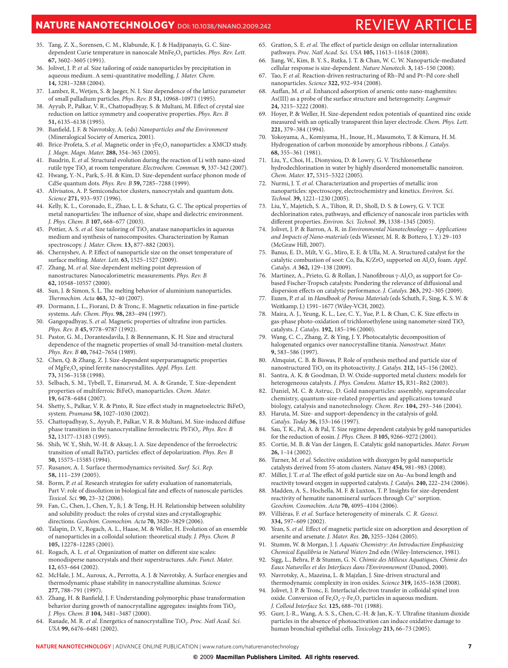# **NATURE NANOTECHNOLOGY** DOI: [10.1038/NNANO.2009.242](file://localhost/Users/auffan/Downloads/www.nature.com/doifinder/10.1038/nnano.2009.242) REVIEW ARTICLE

- 35. Tang, Z. X., Sorensen, C. M., Klabunde, K. J. & Hadjipanayis, G. C. Sizedependent Curie temperature in nanoscale MnFe<sub>2</sub>O<sub>4</sub> particles. Phys. Rev. Lett. **67,** 3602–3605 (1991).
- 36. Jolivet, J. P. et al. Size tailoring of oxide nanoparticles by precipitation in aqueous medium. A semi-quantitative modelling. J. Mater. Chem. **14,** 3281–3288 (2004).
- 37. Lamber, R., Wetjen, S. & Jaeger, N. I. Size dependence of the lattice parameter of small palladium particles. Phys. Rev. B **51,** 10968–10971 (1995).
- 38. Ayyub, P., Palkar, V. R., Chattopadhyay, S. & Multani, M. Effect of crystal size reduction on lattice symmetry and cooperative properties. Phys. Rev. B **51,** 6135–6138 (1995).
- 39. Banfield, J. F. & Navrotsky, A. (eds) Nanoparticles and the Environment (Mineralogical Society of America, 2001).
- 40. Brice-Profeta, S. et al. Magnetic order in  $\gamma \text{Fe}_2\text{O}_3$  nanoparticles: a XMCD study. J. Magn. Magn. Mater. **288,** 354–365 (2005).
- 41. Baudrin, E. et al. Structural evolution during the reaction of Li with nano-sized rutile type TiO<sub>2</sub> at room temperature. Electrochem. Commun. **9,** 337-342 (2007).
- 42. Hwang, Y.-N., Park, S.-H. & Kim, D. Size-dependent surface phonon mode of CdSe quantum dots. Phys. Rev. B **59,** 7285–7288 (1999).
- Alivisatos, A. P. Semiconductor clusters, nanocrystals and quantum dots. Science **271,** 933–937 (1996).
- 44. Kelly, K. L., Coronado, E., Zhao, L. L. & Schatz, G. C. The optical properties of metal nanoparticles: The influence of size, shape and dielectric environment. J. Phys. Chem. B **107,** 668–677 (2003).
- 45. Pottier, A. S. et al. Size tailoring of TiO, anatase nanoparticles in aqueous medium and synthesis of nanocomposites. Characterization by Raman spectroscopy. J. Mater. Chem. **13,** 877–882 (2003).
- 46. Chernyshev, A. P. Effect of nanoparticle size on the onset temperature of surface melting. Mater. Lett. **63,** 1525–1527 (2009).
- 47. Zhang, M. et al. Size-dependent melting point depression of nanostructures: Nanocalorimetric measurements. Phys. Rev. B **62,** 10548–10557 (2000).
- 48. Sun, J. & Simon, S. L. The melting behavior of aluminium nanoparticles. %ermochim. Acta **463,** 32–40 (2007).
- 49. Dormann, J. L., Fiorani, D. & Tronc, E. Magnetic relaxation in fine-particle systems. Adv. Chem. Phys. **98,** 283–494 (1997).
- 50. Gangopadhyay, S. et al. Magnetic properties of ultrafine iron particles. Phys. Rev. B **45,** 9778–9787 (1992).
- 51. Pastor, G. M., Dorantesdavila, J. & Bennemann, K. H. Size and structural dependence of the magnetic properties of small 3d-transition-metal clusters. Phys. Rev. B **40,** 7642–7654 (1989).
- 52. Chen, Q. & Zhang, Z. J. Size-dependent superparamagnetic properties of MgFe<sub>2</sub>O<sub>4</sub> spinel ferrite nanocrystallites. Appl. Phys. Lett. **73,** 3156–3158 (1998).
- 53. Selbach, S. M., Tybell, T., Einarsrud, M. A. & Grande, T. Size-dependent properties of multiferroic BiFeO<sub>3</sub> manoparticles. Chem. Mater. **19,** 6478–6484 (2007).
- 54. Shetty, S., Palkar, V. R. & Pinto, R. Size effect study in magnetoelectric BiFeO<sub>3</sub> system. Pramana **58,** 1027–1030 (2002).
- 55. Chattopadhyay, S., Ayyub, P., Palkar, V. R. & Multani, M. Size-induced diffuse phase transition in the nanocrystalline ferroelectric PbTiO<sub>3</sub>. Phys. Rev. B **52,** 13177–13183 (1995).
- 56. Shih, W. Y., Shih, W.-H. & Aksay, I. A. Size dependence of the ferroelectric transition of small BaTiO<sub>3</sub> particles: effect of depolarization. Phys. Rev. B **50,** 15575–15585 (1994).
- 57. Rusanov, A. I. Surface thermodynamics revisited. Surf. Sci. Rep. **58,** 111–239 (2005).
- Borm, P. et al. Research strategies for safety evaluation of nanomaterials, Part V: role of dissolution in biological fate and effects of nanoscale particles. Toxicol. Sci. **90,** 23–32 (2006).
- 59. Fan, C., Chen, J., Chen, Y., Ji, J. & Teng, H. H. Relationship between solubility and solubility product: the roles of crystal sizes and crystallographic directions. Geochim. Cosmochim. Acta **70,** 3820–3829 (2006).
- 60. Talapin, D. V., Rogach, A. L., Haase, M. & Weller, H. Evolution of an ensemble of nanoparticles in a colloidal solution: theoretical study. J. Phys. Chem. B **105,** 12278–12285 (2001).
- 61. Rogach, A. L. et al. Organization of matter on different size scales: monodisperse nanocrystals and their superstructures. Adv. Funct. Mater. **12,** 653–664 (2002).
- 62. McHale, J. M., Auroux, A., Perrotta, A. J. & Navrotsky, A. Surface energies and thermodynamic phase stability in nanocrystalline aluminas. Science **277,** 788–791 (1997).
- 63. Zhang, H. & Banfield, J. F. Understanding polymorphic phase transformation behavior during growth of nanocrystalline aggregates: insights from TiO<sub>2</sub>. J. Phys. Chem. B **104,** 3481–3487 (2000).
- 64. Ranade, M. R. et al. Energetics of nanocrystalline TiO<sub>2</sub>. Proc. Natl Acad. Sci. USA **99,** 6476–6481 (2002).
- 65. Gratton, S. E. et al. The effect of particle design on cellular internalization pathways. Proc. Natl Acad. Sci. USA **105,** 11613–11618 (2008).
- Jiang, W., Kim, B. Y. S., Rutka, J. T. & Chan, W. C. W. Nanoparticle-mediated cellular response is size-dependent. Nature Nanotech. **3,** 145–150 (2008).
- 67. Tao, F. et al. Reaction-driven restructuring of Rh–Pd and Pt–Pd core-shell nanoparticles. Science **322,** 932–934 (2008).
- 68. Auffan, M. et al. Enhanced adsorption of arsenic onto nano-maghemites: As(III) as a probe of the surface structure and heterogeneity. Langmuir **24,** 3215–3222 (2008).
- 69. Hoyer, P. & Weller, H. Size-dependent redox potentials of quantized zinc oxide measured with an optically transparent thin layer electrode. Chem. Phys. Lett. **221,** 379–384 (1994).
- 70. Yokoyama, A., Komiyama, H., Inoue, H., Masumoto, T. & Kimura, H. M. Hydrogenation of carbon monoxide by amorphous ribbons. J. Catalys. **68,** 355–361 (1981).
- 71. Liu, Y., Choi, H., Dionysiou, D. & Lowry, G. V. Trichloroethene hydrodechlorination in water by highly disordered monometallic nanoiron. Chem. Mater. **17,** 5315–5322 (2005).
- 72. Nurmi, J. T. et al. Characterization and properties of metallic iron nanoparticles: spectroscopy, electrochemistry and kinetics. Environ. Sci. Technol. **39,** 1221–1230 (2005).
- 73. Liu, Y., Majetich, S. A., Tilton, R. D., Sholl, D. S. & Lowry, G. V. TCE dechlorination rates, pathways, and efficiency of nanoscale iron particles with different properties. Environ. Sci. Technol. 39, 1338-1345 (2005).
- 74. Jolivet, J. P. & Barron, A. R. in Environmental Nanotechnology Applications and Impacts of Nano-materials (eds Wiesner, M. R. & Bottero, J. Y.) 29–103 (McGraw Hill, 2007).
- 75. Banus, E. D., Milt, V. G., Miro, E. E. & Ulla, M. A. Structured catalyst for the catalytic combustion of soot: Co, Ba,  $K/ZrO<sub>2</sub>$  supported on  $Al<sub>2</sub>O<sub>3</sub>$  foam. Appl. Catalys. A **362,** 129–138 (2009).
- 76. Martinez, A., Prieto, G. & Rollan, J. Nanofibrous  $\gamma$ -Al<sub>2</sub>O<sub>3</sub> as support for Cobased Fischer-Tropsch catalysts: Pondering the relevance of diffusional and dispersion effects on catalytic performance. J. Catalys. 263, 292-305 (2009).
- 77. Euzen, P. et al. in Handbook of Porous Materials (eds Schuth, F., Sing, K. S. W. & Weitkamp, J.) 1591–1677 (Wiley-VCH, 2002).
- 78. Maira, A. J., Yeung, K. L., Lee, C. Y., Yue, P. L. & Chan, C. K. Size effects in gas-phase photo-oxidation of trichloroethylene using nanometer-sized TiO<sub>2</sub> catalysts. J. Catalys. **192,** 185–196 (2000).
- 79. Wang, C. C., Zhang, Z. & Ying, J. Y. Photocatalytic decomposition of halogenated organics over nanocrystalline titania. Nanostruct. Mater. **9,** 583–586 (1997).
- 80. Almquist, C. B. & Biswas, P. Role of synthesis method and particle size of nanostructured TiO<sub>2</sub> on its photoactivity. J. Catalys. **212,** 145-156 (2002).
- 81. Santra, A. K. & Goodman, D. W. Oxide-supported metal clusters: models for heterogeneous catalysts. J. Phys. Condens. Matter **15,** R31–R62 (2003).
- 82. Daniel, M. C. & Astruc, D. Gold nanoparticles: assembly, supramolecular chemistry, quantum-size-related properties and applications toward biology, catalysis and nanotechnology. Chem. Rev. **104,** 293–346 (2004).
- 83. Haruta, M. Size- and support-dependency in the catalysis of gold. Catalys. Today **36,** 153–166 (1997).
- 84. Sau, T. K., Pal, A. & Pal, T. Size regime dependent catalysis by gold nanoparticles for the reduction of eosin. J. Phys. Chem. B **105,** 9266–9272 (2001).
- 85. Cortie, M. B. & Van der Lingen, E. Catalytic gold nanoparticles. Mater. Forum **26,** 1–14 (2002).
- 86. Turner, M. et al. Selective oxidation with dioxygen by gold nanoparticle catalysts derived from 55-atom clusters. Nature **454,** 981–983 (2008).
- 87. Miller, J. T. et al. The effect of gold particle size on Au-Au bond length and reactivity toward oxygen in supported catalysts. J. Catalys. **240,** 222–234 (2006).
- 88. Madden, A. S., Hochella, M. F. & Luxton, T. P. Insights for size-dependent reactivity of hematite nanomineral surfaces through Cu<sup>2+</sup> sorption. Geochim. Cosmochim. Acta **70,** 4095–4104 (2006).
- 89. Villiéras, F. et al. Surface heterogeneity of minerals. C. R. Geosci. **334,** 597–609 (2002).
- 90. Yean, S. et al. Effect of magnetic particle size on adsorption and desorption of arsenite and arsenate. J. Mater. Res. **20,** 3255–3264 (2005).
- 91. Stumm, W. & Morgan, J. J. Aquatic Chemistry: An Introduction Emphasizing Chemical Equilibria in Natural Waters 2nd edn (Wiley-Interscience, 1981).
- 92. Sigg, L., Behra, P. & Stumm, G. N. Chimie des Milieux Aquatiques, Chimie des Eaux Naturelles et des Interfaces dans l'Environnement (Dunod, 2000).
- 93. Navrotsky, A., Mazeina, L. & Majzlan, J. Size-driven structural and thermodynamic complexity in iron oxides. Science **319,** 1635–1638 (2008).
- 94. Jolivet, J. P. & Tronc, E. Interfacial electron transfer in colloidal spinel iron oxide. Conversion of Fe<sub>3</sub>O<sub>4</sub>- $\gamma$ -Fe<sub>2</sub>O<sub>3</sub> particles in aqueous medium. J. Colloid Interface Sci. **125,** 688–701 (1988).
- 95. Gurr, J.-R., Wang, A. S. S., Chen, C.-H. & Jan, K.-Y. Ultrafine titanium dioxide particles in the absence of photoactivation can induce oxidative damage to human bronchial epithelial cells. Toxicology **213,** 66–73 (2005).